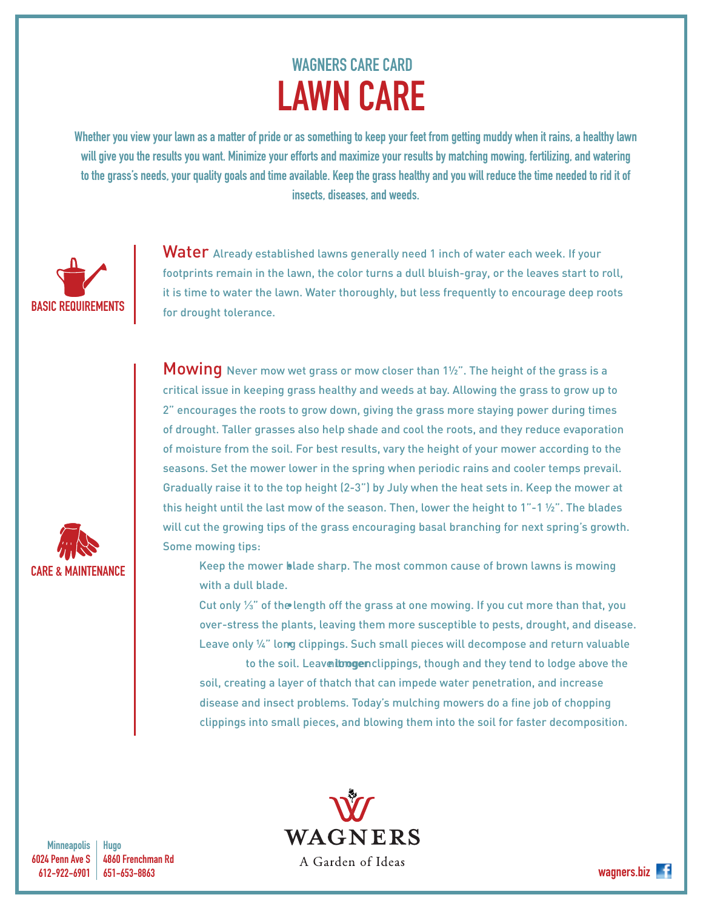## WAGNERS CARE CARD LAWN CARE

Whether you view your lawn as a matter of pride or as something to keep your feet from getting muddy when it rains, a healthy lawn will give you the results you want. Minimize your efforts and maximize your results by matching mowing, fertilizing, and watering to the grass's needs, your quality goals and time available. Keep the grass healthy and you will reduce the time needed to rid it of insects, diseases, and weeds.



CARE & MAINTENANCE

Water Already established lawns generally need 1 inch of water each week. If your footprints remain in the lawn, the color turns a dull bluish-gray, or the leaves start to roll, it is time to water the lawn. Water thoroughly, but less frequently to encourage deep roots for drought tolerance.

**Mowing** Never mow wet grass or mow closer than 1½". The height of the grass is a critical issue in keeping grass healthy and weeds at bay. Allowing the grass to grow up to 2" encourages the roots to grow down, giving the grass more staying power during times of drought. Taller grasses also help shade and cool the roots, and they reduce evaporation of moisture from the soil. For best results, vary the height of your mower according to the seasons. Set the mower lower in the spring when periodic rains and cooler temps prevail. Gradually raise it to the top height (2-3") by July when the heat sets in. Keep the mower at this height until the last mow of the season. Then, lower the height to 1"-1 $\frac{1}{2}$ ". The blades will cut the growing tips of the grass encouraging basal branching for next spring's growth. Some mowing tips:

Keep the mower blade sharp. The most common cause of brown lawns is mowing with a dull blade.

Cut only ¼" of the length off the grass at one mowing. If you cut more than that, you over-stress the plants, leaving them more susceptible to pests, drought, and disease. Leave only 1/4" long clippings. Such small pieces will decompose and return valuable

to the soil. Leavenlongenclippings, though and they tend to lodge above the soil, creating a layer of thatch that can impede water penetration, and increase disease and insect problems. Today's mulching mowers do a fine job of chopping clippings into small pieces, and blowing them into the soil for faster decomposition.

**Minneapolis** 6024 Penn Ave S 612-922-6901

Hugo 4860 Frenchman Rd 651-653-8863